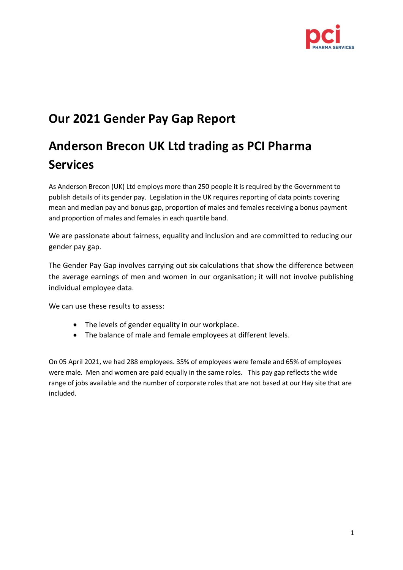

## **Our 2021 Gender Pay Gap Report**

# **Anderson Brecon UK Ltd trading as PCI Pharma Services**

As Anderson Brecon (UK) Ltd employs more than 250 people it is required by the Government to publish details of its gender pay. Legislation in the UK requires reporting of data points covering mean and median pay and bonus gap, proportion of males and females receiving a bonus payment and proportion of males and females in each quartile band.

We are passionate about fairness, equality and inclusion and are committed to reducing our gender pay gap.

The Gender Pay Gap involves carrying out six calculations that show the difference between the average earnings of men and women in our organisation; it will not involve publishing individual employee data.

We can use these results to assess:

- The levels of gender equality in our workplace.
- The balance of male and female employees at different levels.

On 05 April 2021, we had 288 employees. 35% of employees were female and 65% of employees were male. Men and women are paid equally in the same roles. This pay gap reflects the wide range of jobs available and the number of corporate roles that are not based at our Hay site that are included.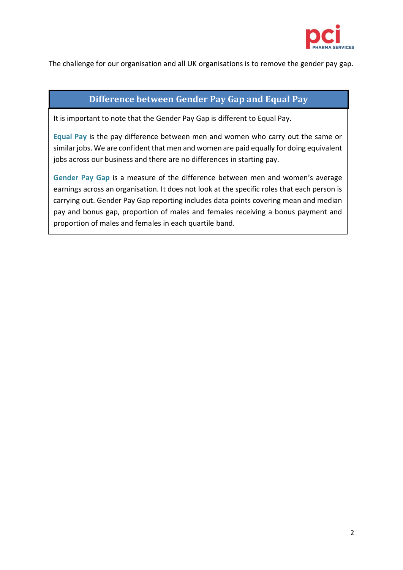

The challenge for our organisation and all UK organisations is to remove the gender pay gap.

### **Difference between Gender Pay Gap and Equal Pay**

It is important to note that the Gender Pay Gap is different to Equal Pay.

**Equal Pay** is the pay difference between men and women who carry out the same or similar jobs. We are confident that men and women are paid equally for doing equivalent jobs across our business and there are no differences in starting pay.

**Gender Pay Gap** is a measure of the difference between men and women's average earnings across an organisation. It does not look at the specific roles that each person is carrying out. Gender Pay Gap reporting includes data points covering mean and median pay and bonus gap, proportion of males and females receiving a bonus payment and proportion of males and females in each quartile band.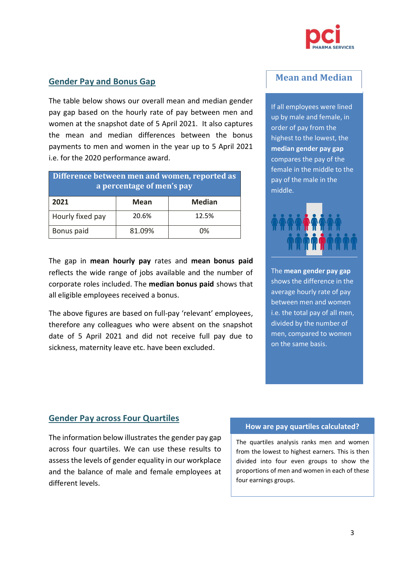

#### **Gender Pay and Bonus Gap**

The table below shows our overall mean and median gender pay gap based on the hourly rate of pay between men and women at the snapshot date of 5 April 2021. It also captures the mean and median differences between the bonus payments to men and women in the year up to 5 April 2021 i.e. for the 2020 performance award.

| Difference between men and women, reported as<br>a percentage of men's pay |             |               |
|----------------------------------------------------------------------------|-------------|---------------|
| 2021                                                                       | <b>Mean</b> | <b>Median</b> |
| Hourly fixed pay                                                           | 20.6%       | 12.5%         |
| Bonus paid                                                                 | 81.09%      | በ%            |

The gap in **mean hourly pay** rates and **mean bonus paid** reflects the wide range of jobs available and the number of corporate roles included. The **median bonus paid** shows that all eligible employees received a bonus.

The above figures are based on full-pay 'relevant' employees, therefore any colleagues who were absent on the snapshot date of 5 April 2021 and did not receive full pay due to sickness, maternity leave etc. have been excluded.

## **Mean and Median**

If all employees were lined up by male and female, in order of pay from the highest to the lowest, the **median gender pay gap** compares the pay of the female in the middle to the pay of the male in the middle.



The **mean gender pay gap** shows the difference in the average hourly rate of pay between men and women i.e. the total pay of all men, divided by the number of men, compared to women on the same basis.

#### **Gender Pay across Four Quartiles**

The information below illustrates the gender pay gap across four quartiles. We can use these results to assess the levels of gender equality in our workplace and the balance of male and female employees at different levels.

#### **How are pay quartiles calculated?**

The quartiles analysis ranks men and women from the lowest to highest earners. This is then divided into four even groups to show the proportions of men and women in each of these four earnings groups.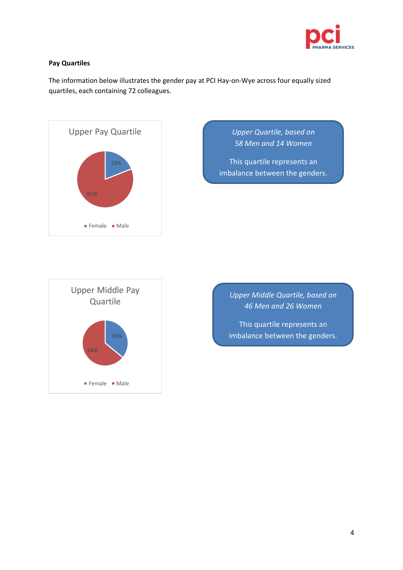

#### **Pay Quartiles**

The information below illustrates the gender pay at PCI Hay-on-Wye across four equally sized quartiles, each containing 72 colleagues.



*Upper Quartile, based on 58 Men and 14 Women*

This quartile represents an imbalance between the genders.



*Upper Middle Quartile, based on 46 Men and 26 Women*

This quartile represents an imbalance between the genders.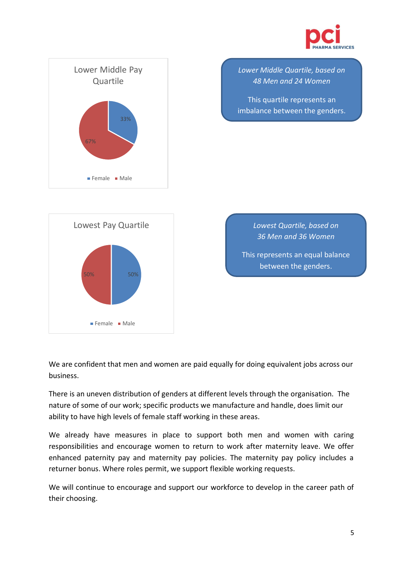



We are confident that men and women are paid equally for doing equivalent jobs across our business.

50% 50%

Female Male

There is an uneven distribution of genders at different levels through the organisation. The nature of some of our work; specific products we manufacture and handle, does limit our ability to have high levels of female staff working in these areas.

We already have measures in place to support both men and women with caring responsibilities and encourage women to return to work after maternity leave. We offer enhanced paternity pay and maternity pay policies. The maternity pay policy includes a returner bonus. Where roles permit, we support flexible working requests.

We will continue to encourage and support our workforce to develop in the career path of their choosing.